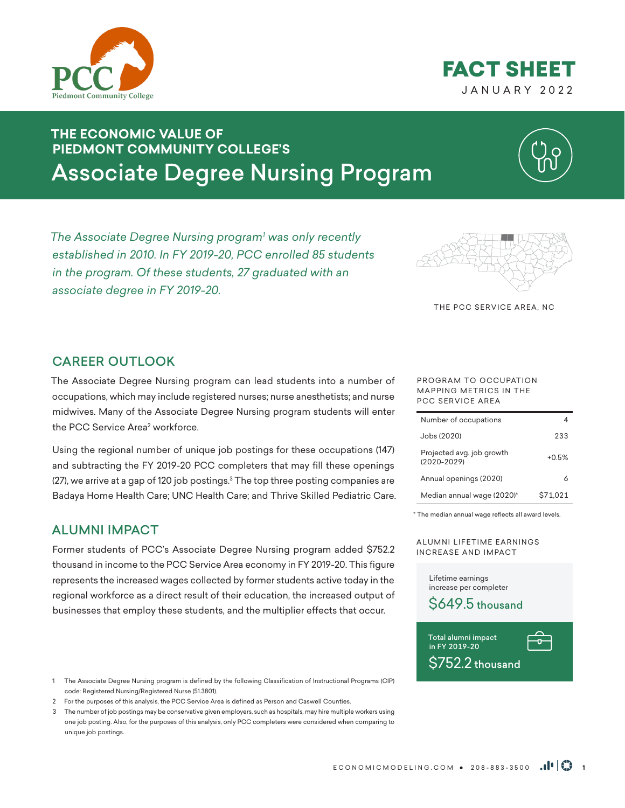



# **THE ECONOMIC VALUE OF PIEDMONT COMMUNITY COLLEGE'S** Associate Degree Nursing Program

*The Associate Degree Nursing program1 was only recently established in 2010. In FY 2019-20, PCC enrolled 85 students in the program. Of these students, 27 graduated with an associate degree in FY 2019-20.* 



THE PCC SERVICE AREA, NC

### CAREER OUTLOOK

The Associate Degree Nursing program can lead students into a number of occupations, which may include registered nurses; nurse anesthetists; and nurse midwives. Many of the Associate Degree Nursing program students will enter the PCC Service Area<del>'</del> workforce.

Using the regional number of unique job postings for these occupations (147) and subtracting the FY 2019-20 PCC completers that may fill these openings (27), we arrive at a gap of 120 job postings. $^3$  The top three posting companies are Badaya Home Health Care; UNC Health Care; and Thrive Skilled Pediatric Care.

### ALUMNI IMPACT

Former students of PCC's Associate Degree Nursing program added \$752.2 thousand in income to the PCC Service Area economy in FY 2019-20. This figure represents the increased wages collected by former students active today in the regional workforce as a direct result of their education, the increased output of businesses that employ these students, and the multiplier effects that occur.

- 1 The Associate Degree Nursing program is defined by the following Classification of Instructional Programs (CIP) code: Registered Nursing/Registered Nurse (51.3801).
- 2 For the purposes of this analysis, the PCC Service Area is defined as Person and Caswell Counties.

3 The number of job postings may be conservative given employers, such as hospitals, may hire multiple workers using one job posting. Also, for the purposes of this analysis, only PCC completers were considered when comparing to unique job postings.

#### PROGRAM TO OCCUPATION MAPPING METRICS IN THE PCC SERVICE AREA

| Number of occupations                        |          |
|----------------------------------------------|----------|
| Jobs (2020)                                  | 233      |
| Projected avg. job growth<br>$(2020 - 2029)$ | $+0.5%$  |
| Annual openings (2020)                       |          |
| Median annual wage (2020)*                   | \$71.021 |

\* The median annual wage reflects all award levels.

A LUMNI LIFETIME EARNINGS INCREASE AND IMPACT

> Lifetime earnings increase per completer